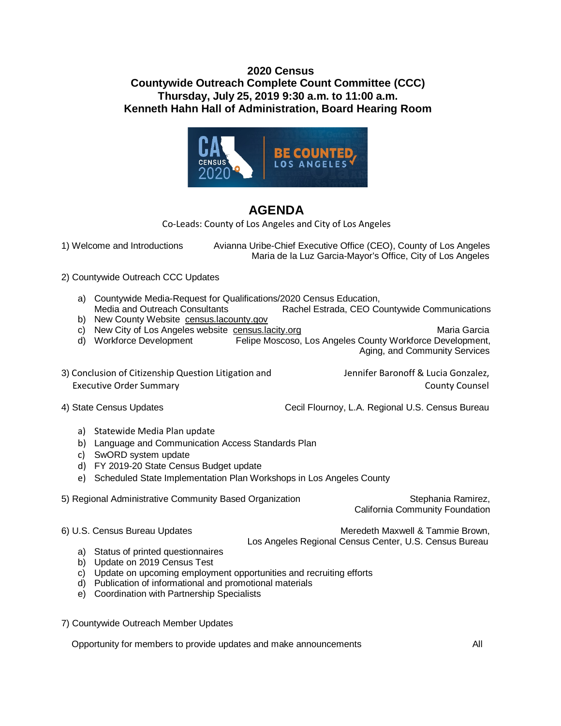## **2020 Census Countywide Outreach Complete Count Committee (CCC) Thursday, July 25, 2019 9:30 a.m. to 11:00 a.m. Kenneth Hahn Hall of Administration, Board Hearing Room**



## **AGENDA**

Co-Leads: County of Los Angeles and City of Los Angeles

1) Welcome and Introductions Avianna Uribe-Chief Executive Office (CEO), County of Los Angeles Maria de la Luz Garcia-Mayor's Office, City of Los Angeles

2) Countywide Outreach CCC Updates

- a) Countywide Media-Request for Qualifications/2020 Census Education, Rachel Estrada, CEO Countywide Communications
- b) New County Website [census.lacounty.gov](http://www.census.lacounty.gov/)
- c) New City of Los Angeles website [census.lacity.org](http://census.lacity.org/) **Maria Garcia** Maria Garcia
- d) Workforce Development Felipe Moscoso, Los Angeles County Workforce Development, Aging, and Community Services
- 3) Conclusion of Citizenship Question Litigation and Jennifer Baronoff & Lucia Gonzalez, Executive Order Summary County Counsel

4) State Census Updates **Cecil Flournoy, L.A. Regional U.S. Census Bureau** 

- a) Statewide Media Plan update
- b) Language and Communication Access Standards Plan
- c) SwORD system update
- d) FY 2019-20 State Census Budget update
- e) Scheduled State Implementation Plan Workshops in Los Angeles County
- 5) Regional Administrative Community Based Organization Stephania Ramirez, Stephania Ramirez,

California Community Foundation

6) U.S. Census Bureau Updates **Meredeth Maxwell & Tammie Brown**, Los Angeles Regional Census Center, U.S. Census Bureau

- a) Status of printed questionnaires
- b) Update on 2019 Census Test
- c) Update on upcoming employment opportunities and recruiting efforts
- d) Publication of informational and promotional materials
- e) Coordination with Partnership Specialists
- 7) Countywide Outreach Member Updates

Opportunity for members to provide updates and make announcements All